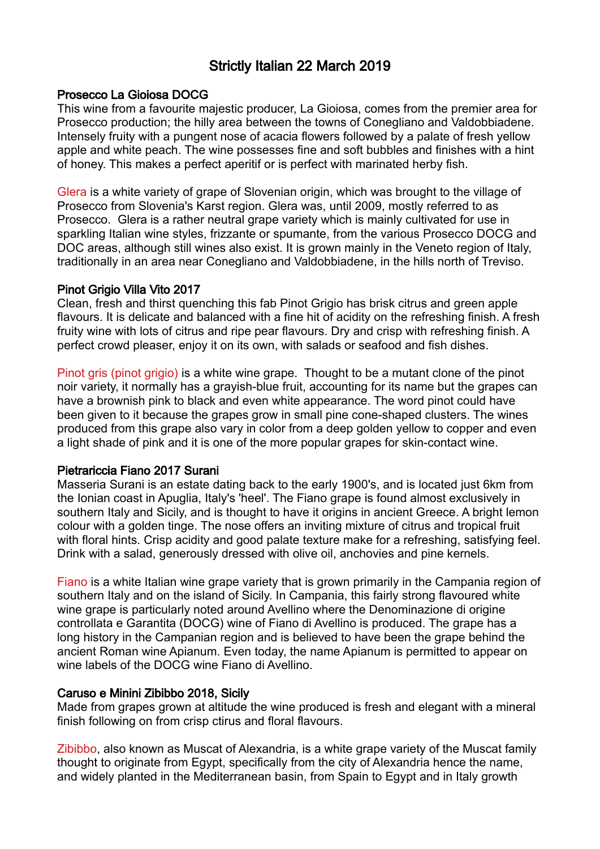# Strictly Italian 22 March 2019

#### Prosecco La Gioiosa DOCG

This wine from a favourite majestic producer, La Gioiosa, comes from the premier area for Prosecco production; the hilly area between the towns of Conegliano and Valdobbiadene. Intensely fruity with a pungent nose of acacia flowers followed by a palate of fresh yellow apple and white peach. The wine possesses fine and soft bubbles and finishes with a hint of honey. This makes a perfect aperitif or is perfect with marinated herby fish.

Glera is a white variety of grape of Slovenian origin, which was brought to the village of Prosecco from Slovenia's Karst region. Glera was, until 2009, mostly referred to as Prosecco. Glera is a rather neutral grape variety which is mainly cultivated for use in sparkling Italian wine styles, frizzante or spumante, from the various Prosecco DOCG and DOC areas, although still wines also exist. It is grown mainly in the Veneto region of Italy, traditionally in an area near Conegliano and Valdobbiadene, in the hills north of Treviso.

#### Pinot Grigio Villa Vito 2017

Clean, fresh and thirst quenching this fab Pinot Grigio has brisk citrus and green apple flavours. It is delicate and balanced with a fine hit of acidity on the refreshing finish. A fresh fruity wine with lots of citrus and ripe pear flavours. Dry and crisp with refreshing finish. A perfect crowd pleaser, enjoy it on its own, with salads or seafood and fish dishes.

Pinot gris (pinot grigio) is a white wine grape. Thought to be a mutant clone of the pinot noir variety, it normally has a grayish-blue fruit, accounting for its name but the grapes can have a brownish pink to black and even white appearance. The word pinot could have been given to it because the grapes grow in small pine cone-shaped clusters. The wines produced from this grape also vary in color from a deep golden yellow to copper and even a light shade of pink and it is one of the more popular grapes for skin-contact wine.

# Pietrariccia Fiano 2017 Surani

Masseria Surani is an estate dating back to the early 1900's, and is located just 6km from the Ionian coast in Apuglia, Italy's 'heel'. The Fiano grape is found almost exclusively in southern Italy and Sicily, and is thought to have it origins in ancient Greece. A bright lemon colour with a golden tinge. The nose offers an inviting mixture of citrus and tropical fruit with floral hints. Crisp acidity and good palate texture make for a refreshing, satisfying feel. Drink with a salad, generously dressed with olive oil, anchovies and pine kernels.

Fiano is a white Italian wine grape variety that is grown primarily in the Campania region of southern Italy and on the island of Sicily. In Campania, this fairly strong flavoured white wine grape is particularly noted around Avellino where the Denominazione di origine controllata e Garantita (DOCG) wine of Fiano di Avellino is produced. The grape has a long history in the Campanian region and is believed to have been the grape behind the ancient Roman wine Apianum. Even today, the name Apianum is permitted to appear on wine labels of the DOCG wine Fiano di Avellino.

# Caruso e Minini Zibibbo 2018, Sicily

Made from grapes grown at altitude the wine produced is fresh and elegant with a mineral finish following on from crisp ctirus and floral flavours.

Zibibbo, also known as Muscat of Alexandria, is a white grape variety of the Muscat family thought to originate from Egypt, specifically from the city of Alexandria hence the name, and widely planted in the Mediterranean basin, from Spain to Egypt and in Italy growth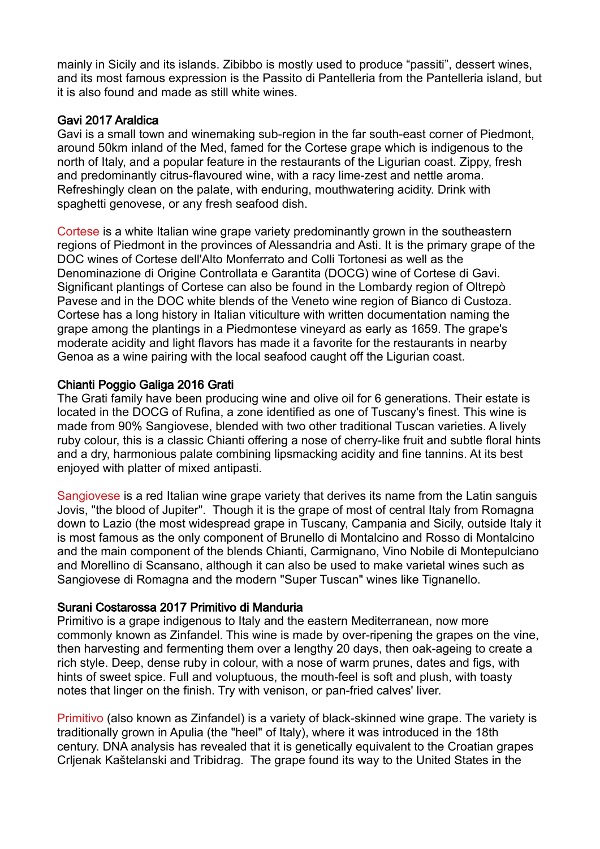mainly in Sicily and its islands. Zibibbo is mostly used to produce "passiti", dessert wines, and its most famous expression is the Passito di Pantelleria from the Pantelleria island, but it is also found and made as still white wines.

## Gavi 2017 Araldica

Gavi is a small town and winemaking sub-region in the far south-east corner of Piedmont, around 50km inland of the Med, famed for the Cortese grape which is indigenous to the north of Italy, and a popular feature in the restaurants of the Ligurian coast. Zippy, fresh and predominantly citrus-flavoured wine, with a racy lime-zest and nettle aroma. Refreshingly clean on the palate, with enduring, mouthwatering acidity. Drink with spaghetti genovese, or any fresh seafood dish.

Cortese is a white Italian wine grape variety predominantly grown in the southeastern regions of Piedmont in the provinces of Alessandria and Asti. It is the primary grape of the DOC wines of Cortese dell'Alto Monferrato and Colli Tortonesi as well as the Denominazione di Origine Controllata e Garantita (DOCG) wine of Cortese di Gavi. Significant plantings of Cortese can also be found in the Lombardy region of Oltrepò Pavese and in the DOC white blends of the Veneto wine region of Bianco di Custoza. Cortese has a long history in Italian viticulture with written documentation naming the grape among the plantings in a Piedmontese vineyard as early as 1659. The grape's moderate acidity and light flavors has made it a favorite for the restaurants in nearby Genoa as a wine pairing with the local seafood caught off the Ligurian coast.

# Chianti Poggio Galiga 2016 Grati

The Grati family have been producing wine and olive oil for 6 generations. Their estate is located in the DOCG of Rufina, a zone identified as one of Tuscany's finest. This wine is made from 90% Sangiovese, blended with two other traditional Tuscan varieties. A lively ruby colour, this is a classic Chianti offering a nose of cherry-like fruit and subtle floral hints and a dry, harmonious palate combining lipsmacking acidity and fine tannins. At its best enjoyed with platter of mixed antipasti.

Sangiovese is a red Italian wine grape variety that derives its name from the Latin sanguis Jovis, "the blood of Jupiter". Though it is the grape of most of central Italy from Romagna down to Lazio (the most widespread grape in Tuscany, Campania and Sicily, outside Italy it is most famous as the only component of Brunello di Montalcino and Rosso di Montalcino and the main component of the blends Chianti, Carmignano, Vino Nobile di Montepulciano and Morellino di Scansano, although it can also be used to make varietal wines such as Sangiovese di Romagna and the modern "Super Tuscan" wines like Tignanello.

#### Surani Costarossa 2017 Primitivo di Manduria

Primitivo is a grape indigenous to Italy and the eastern Mediterranean, now more commonly known as Zinfandel. This wine is made by over-ripening the grapes on the vine, then harvesting and fermenting them over a lengthy 20 days, then oak-ageing to create a rich style. Deep, dense ruby in colour, with a nose of warm prunes, dates and figs, with hints of sweet spice. Full and voluptuous, the mouth-feel is soft and plush, with toasty notes that linger on the finish. Try with venison, or pan-fried calves' liver.

Primitivo (also known as Zinfandel) is a variety of black-skinned wine grape. The variety is traditionally grown in Apulia (the "heel" of Italy), where it was introduced in the 18th century. DNA analysis has revealed that it is genetically equivalent to the Croatian grapes Crljenak Kaštelanski and Tribidrag. The grape found its way to the United States in the